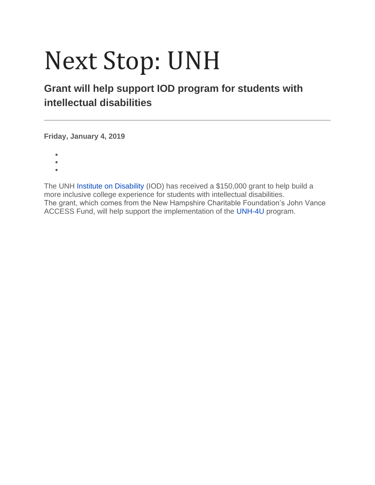## Next Stop: UNH

## **Grant will help support IOD program for students with intellectual disabilities**

**Friday, January 4, 2019**

- •
- •
- •

The UNH [Institute on Disability](https://iod.unh.edu/) (IOD) has received a \$150,000 grant to help build a more inclusive college experience for students with intellectual disabilities. The grant, which comes from the New Hampshire Charitable Foundation's John Vance ACCESS Fund, will help support the implementation of the [UNH-4U](https://iod.unh.edu/projects/unh-4u-and-think-college-nh) program.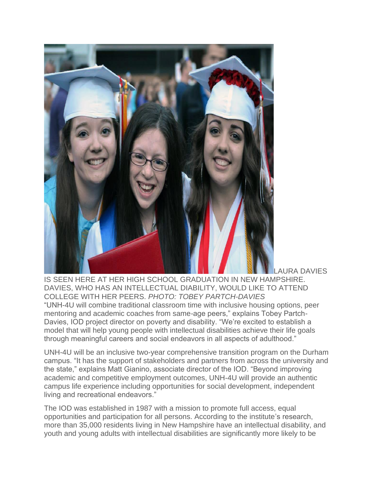

**AURA DAVIES** 

IS SEEN HERE AT HER HIGH SCHOOL GRADUATION IN NEW HAMPSHIRE. DAVIES, WHO HAS AN INTELLECTUAL DIABILITY, WOULD LIKE TO ATTEND COLLEGE WITH HER PEERS. *PHOTO: TOBEY PARTCH-DAVIES* "UNH-4U will combine traditional classroom time with inclusive housing options, peer mentoring and academic coaches from same-age peers," explains Tobey Partch-Davies, IOD project director on poverty and disability. "We're excited to establish a model that will help young people with intellectual disabilities achieve their life goals through meaningful careers and social endeavors in all aspects of adulthood."

UNH-4U will be an inclusive two-year comprehensive transition program on the Durham campus. "It has the support of stakeholders and partners from across the university and the state," explains Matt Gianino, associate director of the IOD. "Beyond improving academic and competitive employment outcomes, UNH-4U will provide an authentic campus life experience including opportunities for social development, independent living and recreational endeavors."

The IOD was established in 1987 with a mission to promote full access, equal opportunities and participation for all persons. According to the institute's research, more than 35,000 residents living in New Hampshire have an intellectual disability, and youth and young adults with intellectual disabilities are significantly more likely to be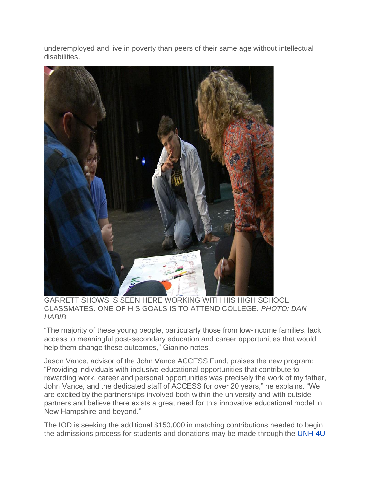underemployed and live in poverty than peers of their same age without intellectual disabilities.



GARRETT SHOWS IS SEEN HERE WORKING WITH HIS HIGH SCHOOL CLASSMATES. ONE OF HIS GOALS IS TO ATTEND COLLEGE. *PHOTO: DAN HABIB*

"The majority of these young people, particularly those from low-income families, lack access to meaningful post-secondary education and career opportunities that would help them change these outcomes," Gianino notes.

Jason Vance, advisor of the John Vance ACCESS Fund, praises the new program: "Providing individuals with inclusive educational opportunities that contribute to rewarding work, career and personal opportunities was precisely the work of my father, John Vance, and the dedicated staff of ACCESS for over 20 years," he explains. "We are excited by the partnerships involved both within the university and with outside partners and believe there exists a great need for this innovative educational model in New Hampshire and beyond."

The IOD is seeking the additional \$150,000 in matching contributions needed to begin the admissions process for students and donations may be made through the [UNH-4U](https://securelb.imodules.com/s/1518/giving/form.aspx?sid=1518&gid=2&pgid=686&cid=1584&dids=314)